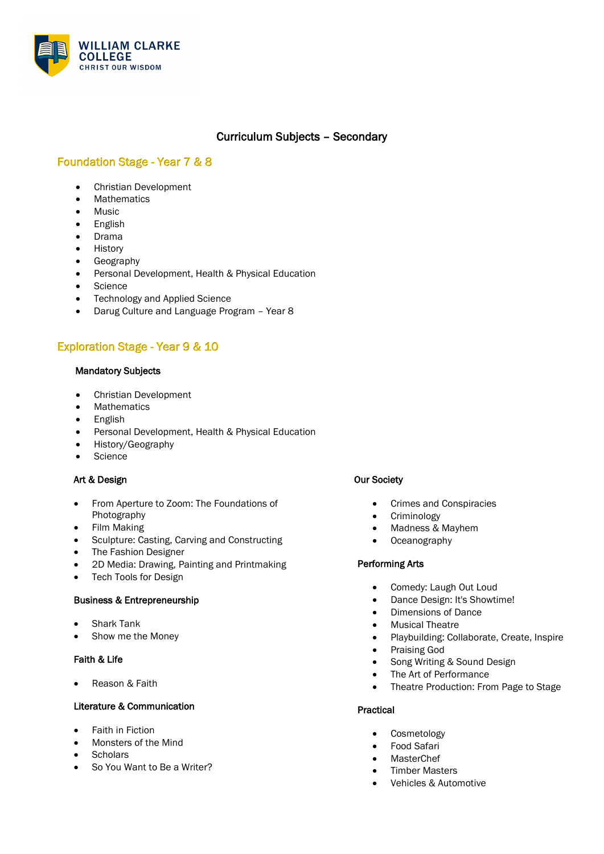

## Curriculum Subjects – Secondary

## Foundation Stage - Year 7 & 8

- Christian Development
- Mathematics
- Music
- English
- Drama
- History
- Geography
- Personal Development, Health & Physical Education
- Science
- Technology and Applied Science
- Darug Culture and Language Program Year 8

# Exploration Stage - Year 9 & 10

### Mandatory Subjects

- Christian Development
- Mathematics
- English
- Personal Development, Health & Physical Education
- History/Geography
- Science

## Art & Design

- From Aperture to Zoom: The Foundations of Photography
- Film Making
- Sculpture: Casting, Carving and Constructing
- The Fashion Designer
- 2D Media: Drawing, Painting and Printmaking
- Tech Tools for Design

## Business & Entrepreneurship

- Shark Tank
- Show me the Money

#### Faith & Life

Reason & Faith

## Literature & Communication

- Faith in Fiction
- Monsters of the Mind
- **Scholars**
- So You Want to Be a Writer?

## Our Society

- Crimes and Conspiracies
- Criminology
- Madness & Mayhem
- Oceanography

## Performing Arts

- Comedy: Laugh Out Loud
- Dance Design: It's Showtime!
- Dimensions of Dance
- **Musical Theatre**
- Playbuilding: Collaborate, Create, Inspire
- Praising God
- Song Writing & Sound Design
- The Art of Performance
- Theatre Production: From Page to Stage

#### Practical

- **Cosmetology**
- Food Safari
- **MasterChef**
- **Timber Masters**
- Vehicles & Automotive